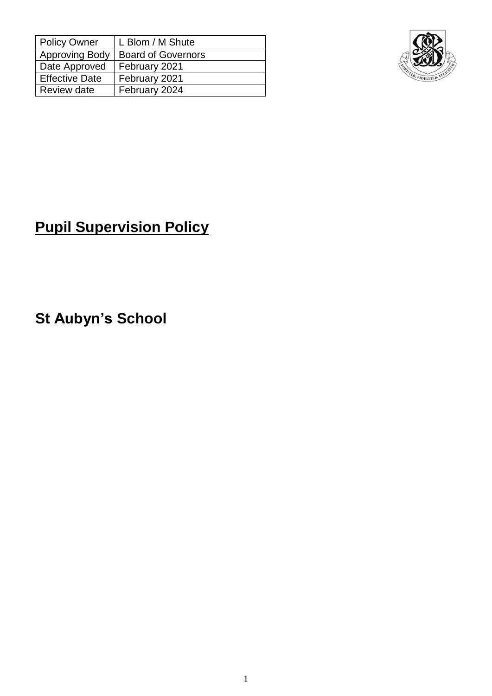| <b>Policy Owner</b>   | L Blom / M Shute          |
|-----------------------|---------------------------|
| <b>Approving Body</b> | <b>Board of Governors</b> |
| Date Approved         | February 2021             |
| <b>Effective Date</b> | February 2021             |
| Review date           | February 2024             |



# **Pupil Supervision Policy**

**St Aubyn's School**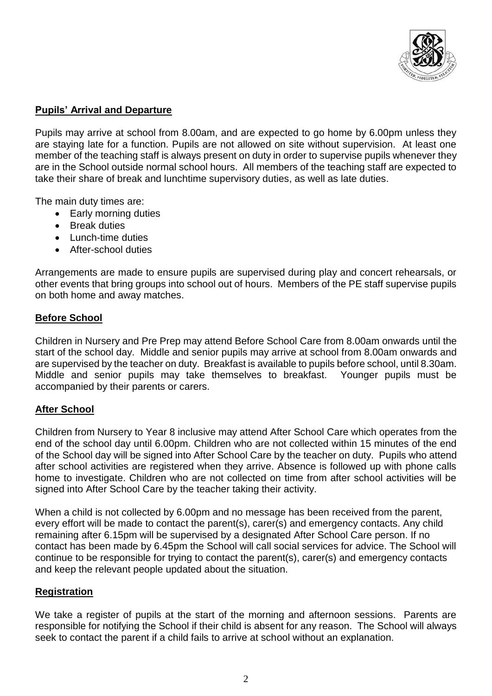

# **Pupils' Arrival and Departure**

Pupils may arrive at school from 8.00am, and are expected to go home by 6.00pm unless they are staying late for a function. Pupils are not allowed on site without supervision. At least one member of the teaching staff is always present on duty in order to supervise pupils whenever they are in the School outside normal school hours. All members of the teaching staff are expected to take their share of break and lunchtime supervisory duties, as well as late duties.

The main duty times are:

- Early morning duties
- **Break duties**
- Lunch-time duties
- After-school duties

Arrangements are made to ensure pupils are supervised during play and concert rehearsals, or other events that bring groups into school out of hours. Members of the PE staff supervise pupils on both home and away matches.

# **Before School**

Children in Nursery and Pre Prep may attend Before School Care from 8.00am onwards until the start of the school day. Middle and senior pupils may arrive at school from 8.00am onwards and are supervised by the teacher on duty. Breakfast is available to pupils before school, until 8.30am. Middle and senior pupils may take themselves to breakfast. Younger pupils must be accompanied by their parents or carers.

## **After School**

Children from Nursery to Year 8 inclusive may attend After School Care which operates from the end of the school day until 6.00pm. Children who are not collected within 15 minutes of the end of the School day will be signed into After School Care by the teacher on duty. Pupils who attend after school activities are registered when they arrive. Absence is followed up with phone calls home to investigate. Children who are not collected on time from after school activities will be signed into After School Care by the teacher taking their activity.

When a child is not collected by 6.00pm and no message has been received from the parent, every effort will be made to contact the parent(s), carer(s) and emergency contacts. Any child remaining after 6.15pm will be supervised by a designated After School Care person. If no contact has been made by 6.45pm the School will call social services for advice. The School will continue to be responsible for trying to contact the parent(s), carer(s) and emergency contacts and keep the relevant people updated about the situation.

## **Registration**

We take a register of pupils at the start of the morning and afternoon sessions. Parents are responsible for notifying the School if their child is absent for any reason. The School will always seek to contact the parent if a child fails to arrive at school without an explanation.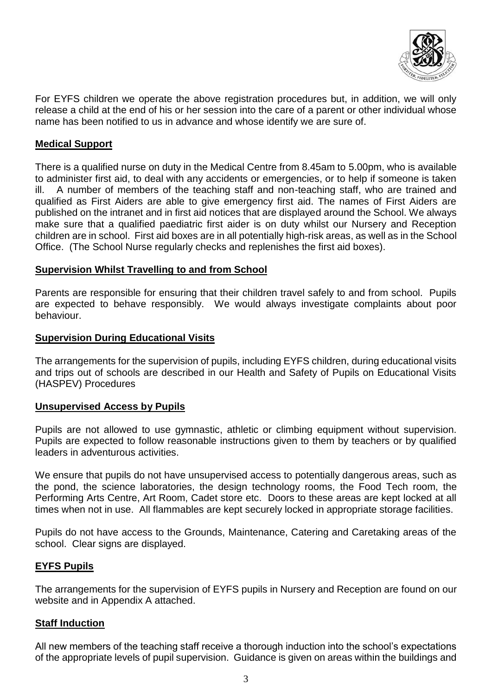

For EYFS children we operate the above registration procedures but, in addition, we will only release a child at the end of his or her session into the care of a parent or other individual whose name has been notified to us in advance and whose identify we are sure of.

# **Medical Support**

There is a qualified nurse on duty in the Medical Centre from 8.45am to 5.00pm, who is available to administer first aid, to deal with any accidents or emergencies, or to help if someone is taken ill. A number of members of the teaching staff and non-teaching staff, who are trained and qualified as First Aiders are able to give emergency first aid. The names of First Aiders are published on the intranet and in first aid notices that are displayed around the School. We always make sure that a qualified paediatric first aider is on duty whilst our Nursery and Reception children are in school. First aid boxes are in all potentially high-risk areas, as well as in the School Office. (The School Nurse regularly checks and replenishes the first aid boxes).

#### **Supervision Whilst Travelling to and from School**

Parents are responsible for ensuring that their children travel safely to and from school. Pupils are expected to behave responsibly. We would always investigate complaints about poor behaviour.

#### **Supervision During Educational Visits**

The arrangements for the supervision of pupils, including EYFS children, during educational visits and trips out of schools are described in our Health and Safety of Pupils on Educational Visits (HASPEV) Procedures

#### **Unsupervised Access by Pupils**

Pupils are not allowed to use gymnastic, athletic or climbing equipment without supervision. Pupils are expected to follow reasonable instructions given to them by teachers or by qualified leaders in adventurous activities.

We ensure that pupils do not have unsupervised access to potentially dangerous areas, such as the pond, the science laboratories, the design technology rooms, the Food Tech room, the Performing Arts Centre, Art Room, Cadet store etc. Doors to these areas are kept locked at all times when not in use. All flammables are kept securely locked in appropriate storage facilities.

Pupils do not have access to the Grounds, Maintenance, Catering and Caretaking areas of the school. Clear signs are displayed.

## **EYFS Pupils**

The arrangements for the supervision of EYFS pupils in Nursery and Reception are found on our website and in Appendix A attached.

## **Staff Induction**

All new members of the teaching staff receive a thorough induction into the school's expectations of the appropriate levels of pupil supervision. Guidance is given on areas within the buildings and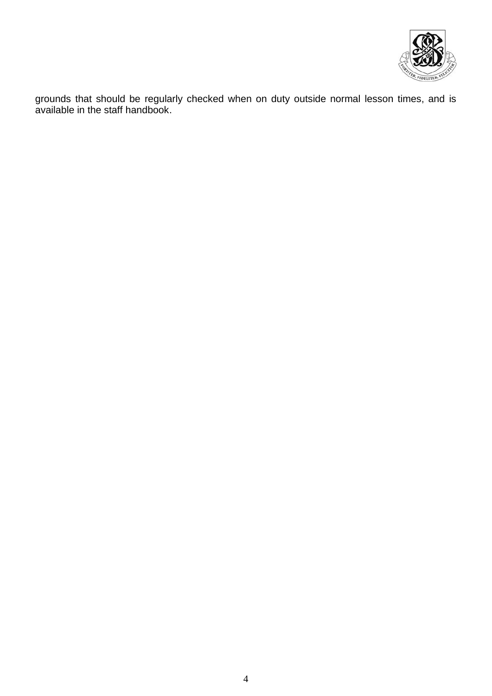

grounds that should be regularly checked when on duty outside normal lesson times, and is available in the staff handbook.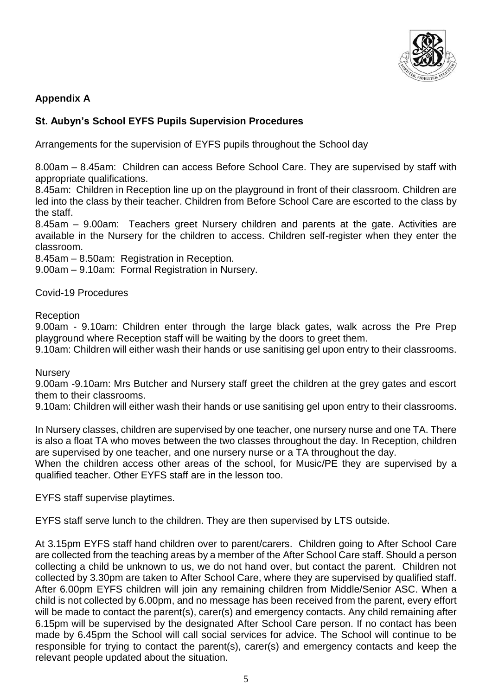

# **Appendix A**

# **St. Aubyn's School EYFS Pupils Supervision Procedures**

Arrangements for the supervision of EYFS pupils throughout the School day

8.00am – 8.45am: Children can access Before School Care. They are supervised by staff with appropriate qualifications.

8.45am: Children in Reception line up on the playground in front of their classroom. Children are led into the class by their teacher. Children from Before School Care are escorted to the class by the staff.

8.45am – 9.00am: Teachers greet Nursery children and parents at the gate. Activities are available in the Nursery for the children to access. Children self-register when they enter the classroom.

8.45am – 8.50am: Registration in Reception.

9.00am – 9.10am: Formal Registration in Nursery.

Covid-19 Procedures

Reception

9.00am - 9.10am: Children enter through the large black gates, walk across the Pre Prep playground where Reception staff will be waiting by the doors to greet them.

9.10am: Children will either wash their hands or use sanitising gel upon entry to their classrooms.

**Nursery** 

9.00am -9.10am: Mrs Butcher and Nursery staff greet the children at the grey gates and escort them to their classrooms.

9.10am: Children will either wash their hands or use sanitising gel upon entry to their classrooms.

In Nursery classes, children are supervised by one teacher, one nursery nurse and one TA. There is also a float TA who moves between the two classes throughout the day. In Reception, children are supervised by one teacher, and one nursery nurse or a TA throughout the day.

When the children access other areas of the school, for Music/PE they are supervised by a qualified teacher. Other EYFS staff are in the lesson too.

EYFS staff supervise playtimes.

EYFS staff serve lunch to the children. They are then supervised by LTS outside.

At 3.15pm EYFS staff hand children over to parent/carers. Children going to After School Care are collected from the teaching areas by a member of the After School Care staff. Should a person collecting a child be unknown to us, we do not hand over, but contact the parent. Children not collected by 3.30pm are taken to After School Care, where they are supervised by qualified staff. After 6.00pm EYFS children will join any remaining children from Middle/Senior ASC. When a child is not collected by 6.00pm, and no message has been received from the parent, every effort will be made to contact the parent(s), carer(s) and emergency contacts. Any child remaining after 6.15pm will be supervised by the designated After School Care person. If no contact has been made by 6.45pm the School will call social services for advice. The School will continue to be responsible for trying to contact the parent(s), carer(s) and emergency contacts and keep the relevant people updated about the situation.